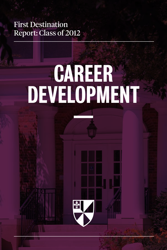## First Destination Report: Class of 2012

# **CAREER** Development  $\frac{1}{2}$

 $\frac{1}{2}$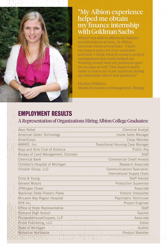

#### "My Albion experience helped me obtain my finance internship with Goldman Sachs

where I was able to effectively balance several projects at once. At Albion, everyone wears several hats—I have two majors and a lot of co-curricular activities. I think when it comes to project management that really helped me. Working closely with my professors gave me an edge as well. That made it much easier to reach out to my superiors during my internship when I had questions."

Heather Waldron Majors: Economics & Management, Biology

### EMPLOYMENT RESULTS

#### A Representation of Organizations Hiring Albion College Graduates:

| Akzo Nobel                          | <b>Chemical Analyst</b>                  |
|-------------------------------------|------------------------------------------|
| American Green Technology           | Inside Sales Manager                     |
| <b>AmeriCorps</b>                   | Corps Member                             |
| AWARE, Inc.                         | <b>Transitional Housing Case Manager</b> |
| Boys and Girls Club of America      | Public Ally                              |
| Bureau of Land Management, Colorado | <b>Staff</b>                             |
| <b>Chemical Bank</b>                | <b>Commercial Credit Analyst</b>         |
| Children's Hospital of Michigan     | <b>Research Associate</b>                |
| Chrysler Group, LLC                 | Communications Specialist,               |
|                                     | International Supply Chain               |
| Ernst & Young                       | <b>Staff Advisor</b>                     |
| <b>General Motors</b>               | <b>Production Supervisor</b>             |
| JPMorgan Chase                      | Associate                                |
| Mackinac State Historic Parks       | Historic Interpreter                     |
| McLaren Bay Region Hospital         | Psychiatric Technician                   |
| NYX Inc.                            | Project Engineer                         |
| Office of State Representative      | <b>Staff</b>                             |
| Portland High School                | Teacher                                  |
| PricewaterhouseCoopers, LLP         | Associate                                |
| Prime Publishing, LLC               | Editor                                   |
| State of Michigan                   | Auditor                                  |
| Wolverine Worldwide                 | Product Marketer                         |
|                                     |                                          |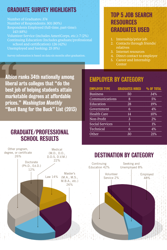## GRADUATE SURVEY HIGHLIGHTS

Number of Graduates: 374 Number of Respondents: 301 (80%) Respondents Employed (full-time, part-time): 143 (48%) Volunteer Service (includes AmeriCorps, etc.): 7 (2%) Continuing Education (Includes graduate/professional school and certification): 126 (42%) Unemployed and Seeking: 25 (8%)

Survey information is based on data six months after graduation.

#### Top 5 Job Search **RESOURCES** Graduates Used

- 1. Internship/prior job
- 2. Contacts through friends/ relatives
- 3. Internet resources
- 4. Direct contact to employer
- 5. Career and Internship Center

Albion<br>
liberal<br>
best jol<br>
market<br>
prices.<br>
"Rest <sup>E</sup> Albion ranks 34th nationally among liberal arts colleges that "do the best job of helping students attain marketable degrees at affordable prices." Washington Monthly "Best Bang for the Buck" List (2013)

#### Graduate/Professional School results



## EMPLOYER BY CATEGORY

| <b>EMPLOYER TYPE</b>   | <b>GRADUATES HIRED</b> | % OF TOTAL |
|------------------------|------------------------|------------|
| <b>Business</b>        | 50                     | 34%        |
| Communications         | 8                      | 5%         |
| Education              | 28                     | 19%        |
| Government             | 6                      | $4\%$      |
| <b>Health Care</b>     | 14                     | 10%        |
| Non-Profit             | 3                      | 2%         |
| <b>Social Services</b> | 1                      | $1\%$      |
| Technical              | 6                      | 4%         |
| Other                  | 30                     | 21%        |

## DESTINATION BY CATEGORY

48%